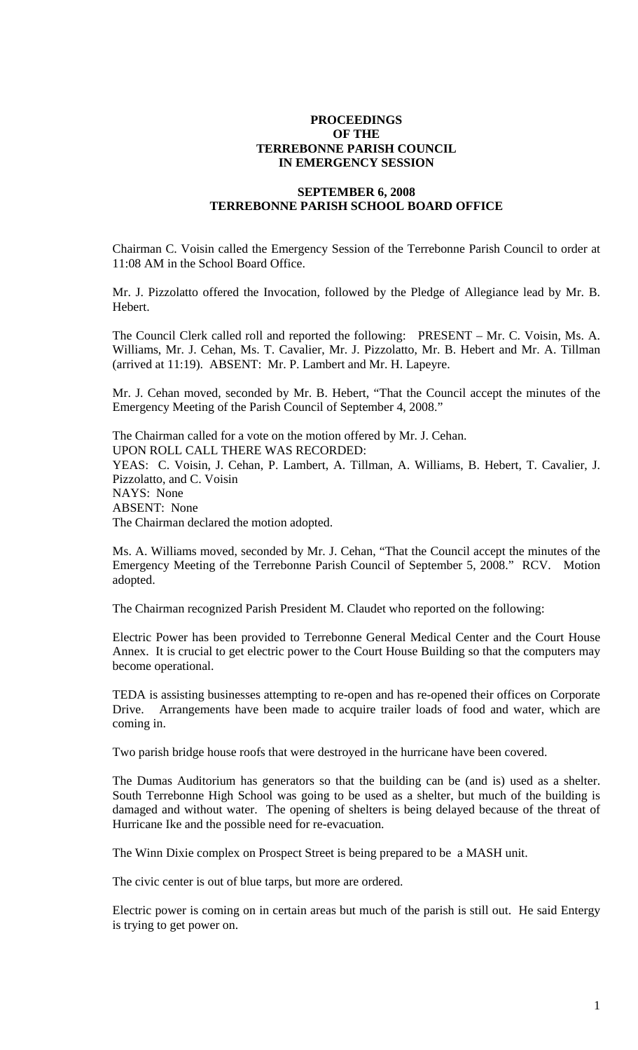## **PROCEEDINGS OF THE TERREBONNE PARISH COUNCIL IN EMERGENCY SESSION**

## **SEPTEMBER 6, 2008 TERREBONNE PARISH SCHOOL BOARD OFFICE**

Chairman C. Voisin called the Emergency Session of the Terrebonne Parish Council to order at 11:08 AM in the School Board Office.

Mr. J. Pizzolatto offered the Invocation, followed by the Pledge of Allegiance lead by Mr. B. Hebert.

The Council Clerk called roll and reported the following: PRESENT – Mr. C. Voisin, Ms. A. Williams, Mr. J. Cehan, Ms. T. Cavalier, Mr. J. Pizzolatto, Mr. B. Hebert and Mr. A. Tillman (arrived at 11:19). ABSENT: Mr. P. Lambert and Mr. H. Lapeyre.

Mr. J. Cehan moved, seconded by Mr. B. Hebert, "That the Council accept the minutes of the Emergency Meeting of the Parish Council of September 4, 2008."

The Chairman called for a vote on the motion offered by Mr. J. Cehan. UPON ROLL CALL THERE WAS RECORDED: YEAS: C. Voisin, J. Cehan, P. Lambert, A. Tillman, A. Williams, B. Hebert, T. Cavalier, J. Pizzolatto, and C. Voisin NAYS: None ABSENT: None The Chairman declared the motion adopted.

Ms. A. Williams moved, seconded by Mr. J. Cehan, "That the Council accept the minutes of the Emergency Meeting of the Terrebonne Parish Council of September 5, 2008." RCV. Motion adopted.

The Chairman recognized Parish President M. Claudet who reported on the following:

Electric Power has been provided to Terrebonne General Medical Center and the Court House Annex. It is crucial to get electric power to the Court House Building so that the computers may become operational.

TEDA is assisting businesses attempting to re-open and has re-opened their offices on Corporate Drive. Arrangements have been made to acquire trailer loads of food and water, which are coming in.

Two parish bridge house roofs that were destroyed in the hurricane have been covered.

The Dumas Auditorium has generators so that the building can be (and is) used as a shelter. South Terrebonne High School was going to be used as a shelter, but much of the building is damaged and without water. The opening of shelters is being delayed because of the threat of Hurricane Ike and the possible need for re-evacuation.

The Winn Dixie complex on Prospect Street is being prepared to be a MASH unit.

The civic center is out of blue tarps, but more are ordered.

Electric power is coming on in certain areas but much of the parish is still out. He said Entergy is trying to get power on.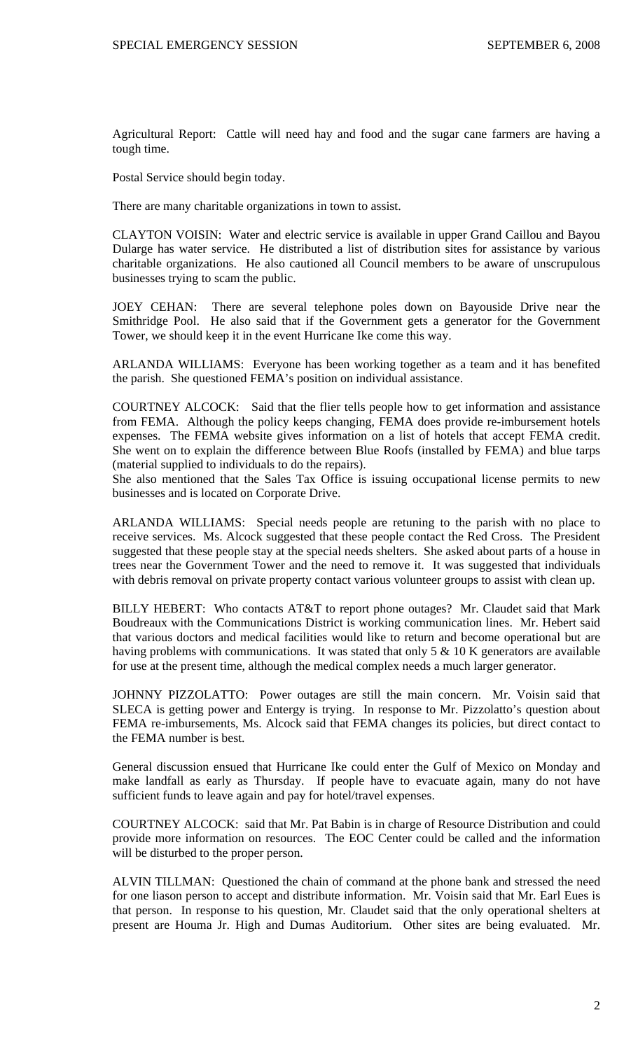Agricultural Report: Cattle will need hay and food and the sugar cane farmers are having a tough time.

Postal Service should begin today.

There are many charitable organizations in town to assist.

CLAYTON VOISIN: Water and electric service is available in upper Grand Caillou and Bayou Dularge has water service. He distributed a list of distribution sites for assistance by various charitable organizations. He also cautioned all Council members to be aware of unscrupulous businesses trying to scam the public.

JOEY CEHAN: There are several telephone poles down on Bayouside Drive near the Smithridge Pool. He also said that if the Government gets a generator for the Government Tower, we should keep it in the event Hurricane Ike come this way.

ARLANDA WILLIAMS: Everyone has been working together as a team and it has benefited the parish. She questioned FEMA's position on individual assistance.

COURTNEY ALCOCK: Said that the flier tells people how to get information and assistance from FEMA. Although the policy keeps changing, FEMA does provide re-imbursement hotels expenses. The FEMA website gives information on a list of hotels that accept FEMA credit. She went on to explain the difference between Blue Roofs (installed by FEMA) and blue tarps (material supplied to individuals to do the repairs).

She also mentioned that the Sales Tax Office is issuing occupational license permits to new businesses and is located on Corporate Drive.

ARLANDA WILLIAMS: Special needs people are retuning to the parish with no place to receive services. Ms. Alcock suggested that these people contact the Red Cross. The President suggested that these people stay at the special needs shelters. She asked about parts of a house in trees near the Government Tower and the need to remove it. It was suggested that individuals with debris removal on private property contact various volunteer groups to assist with clean up.

BILLY HEBERT: Who contacts AT&T to report phone outages? Mr. Claudet said that Mark Boudreaux with the Communications District is working communication lines. Mr. Hebert said that various doctors and medical facilities would like to return and become operational but are having problems with communications. It was stated that only  $5 \& 10 K$  generators are available for use at the present time, although the medical complex needs a much larger generator.

JOHNNY PIZZOLATTO: Power outages are still the main concern. Mr. Voisin said that SLECA is getting power and Entergy is trying. In response to Mr. Pizzolatto's question about FEMA re-imbursements, Ms. Alcock said that FEMA changes its policies, but direct contact to the FEMA number is best.

General discussion ensued that Hurricane Ike could enter the Gulf of Mexico on Monday and make landfall as early as Thursday. If people have to evacuate again, many do not have sufficient funds to leave again and pay for hotel/travel expenses.

COURTNEY ALCOCK: said that Mr. Pat Babin is in charge of Resource Distribution and could provide more information on resources. The EOC Center could be called and the information will be disturbed to the proper person.

ALVIN TILLMAN: Questioned the chain of command at the phone bank and stressed the need for one liason person to accept and distribute information. Mr. Voisin said that Mr. Earl Eues is that person. In response to his question, Mr. Claudet said that the only operational shelters at present are Houma Jr. High and Dumas Auditorium. Other sites are being evaluated. Mr.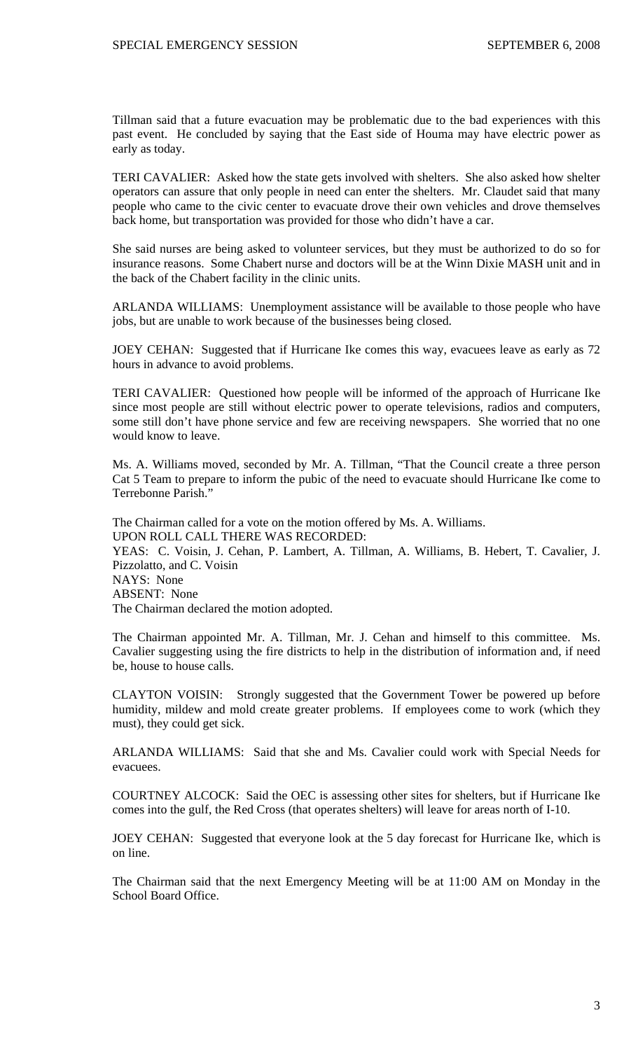Tillman said that a future evacuation may be problematic due to the bad experiences with this past event. He concluded by saying that the East side of Houma may have electric power as early as today.

TERI CAVALIER: Asked how the state gets involved with shelters. She also asked how shelter operators can assure that only people in need can enter the shelters. Mr. Claudet said that many people who came to the civic center to evacuate drove their own vehicles and drove themselves back home, but transportation was provided for those who didn't have a car.

She said nurses are being asked to volunteer services, but they must be authorized to do so for insurance reasons. Some Chabert nurse and doctors will be at the Winn Dixie MASH unit and in the back of the Chabert facility in the clinic units.

ARLANDA WILLIAMS: Unemployment assistance will be available to those people who have jobs, but are unable to work because of the businesses being closed.

JOEY CEHAN: Suggested that if Hurricane Ike comes this way, evacuees leave as early as 72 hours in advance to avoid problems.

TERI CAVALIER: Questioned how people will be informed of the approach of Hurricane Ike since most people are still without electric power to operate televisions, radios and computers, some still don't have phone service and few are receiving newspapers. She worried that no one would know to leave.

Ms. A. Williams moved, seconded by Mr. A. Tillman, "That the Council create a three person Cat 5 Team to prepare to inform the pubic of the need to evacuate should Hurricane Ike come to Terrebonne Parish."

The Chairman called for a vote on the motion offered by Ms. A. Williams. UPON ROLL CALL THERE WAS RECORDED: YEAS: C. Voisin, J. Cehan, P. Lambert, A. Tillman, A. Williams, B. Hebert, T. Cavalier, J. Pizzolatto, and C. Voisin NAYS: None ABSENT: None The Chairman declared the motion adopted.

The Chairman appointed Mr. A. Tillman, Mr. J. Cehan and himself to this committee. Ms. Cavalier suggesting using the fire districts to help in the distribution of information and, if need be, house to house calls.

CLAYTON VOISIN: Strongly suggested that the Government Tower be powered up before humidity, mildew and mold create greater problems. If employees come to work (which they must), they could get sick.

ARLANDA WILLIAMS: Said that she and Ms. Cavalier could work with Special Needs for evacuees.

COURTNEY ALCOCK: Said the OEC is assessing other sites for shelters, but if Hurricane Ike comes into the gulf, the Red Cross (that operates shelters) will leave for areas north of I-10.

JOEY CEHAN: Suggested that everyone look at the 5 day forecast for Hurricane Ike, which is on line.

The Chairman said that the next Emergency Meeting will be at 11:00 AM on Monday in the School Board Office.